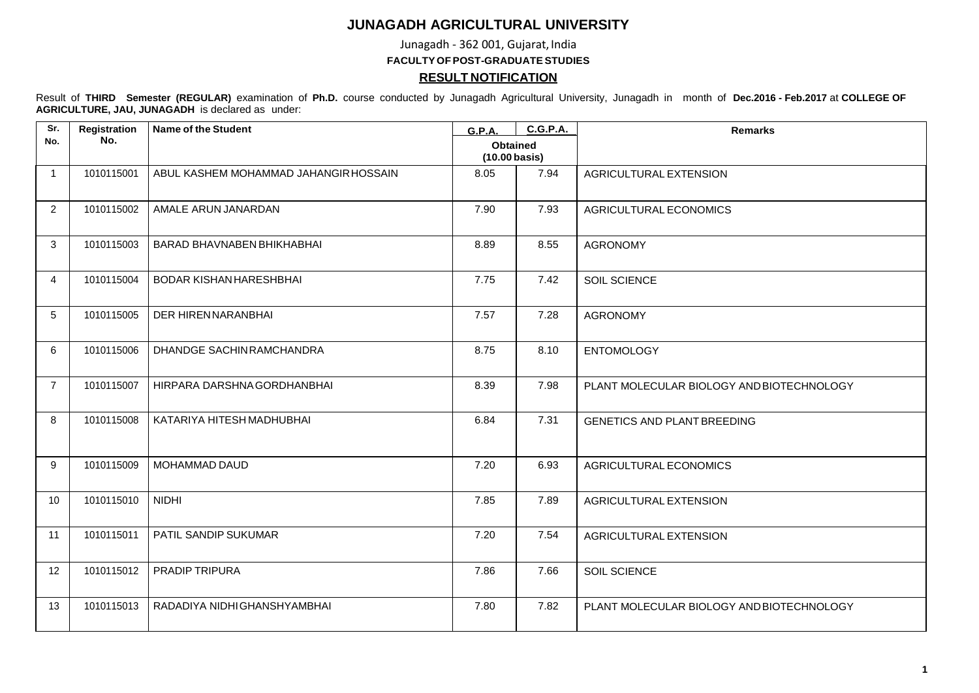## **JUNAGADH AGRICULTURAL UNIVERSITY**

Junagadh - 362 001, Gujarat, India

**FACULTY OFPOST-GRADUATESTUDIES**

## **RESULT NOTIFICATION**

Result of **THIRD Semester (REGULAR)** examination of **Ph.D.** course conducted by Junagadh Agricultural University, Junagadh in month of **Dec.2016 - Feb.2017** at **COLLEGE OF AGRICULTURE, JAU, JUNAGADH** is declared as under:

| Sr.            | Registration | <b>Name of the Student</b>            | <b>G.P.A.</b>                              | <b>C.G.P.A.</b> | <b>Remarks</b>                            |
|----------------|--------------|---------------------------------------|--------------------------------------------|-----------------|-------------------------------------------|
| No.            | No.          |                                       | <b>Obtained</b><br>$(10.00 \text{ basis})$ |                 |                                           |
| $\overline{1}$ | 1010115001   | ABUL KASHEM MOHAMMAD JAHANGIR HOSSAIN | 8.05                                       | 7.94            | AGRICULTURAL EXTENSION                    |
| 2              | 1010115002   | AMALE ARUN JANARDAN                   | 7.90                                       | 7.93            | AGRICULTURAL ECONOMICS                    |
| 3              | 1010115003   | <b>BARAD BHAVNABEN BHIKHABHAI</b>     | 8.89                                       | 8.55            | <b>AGRONOMY</b>                           |
| $\overline{4}$ | 1010115004   | BODAR KISHAN HARESHBHAI               | 7.75                                       | 7.42            | SOIL SCIENCE                              |
| 5              | 1010115005   | DER HIRENNARANBHAI                    | 7.57                                       | 7.28            | <b>AGRONOMY</b>                           |
| 6              | 1010115006   | DHANDGE SACHIN RAMCHANDRA             | 8.75                                       | 8.10            | <b>ENTOMOLOGY</b>                         |
| $\overline{7}$ | 1010115007   | HIRPARA DARSHNA GORDHANBHAI           | 8.39                                       | 7.98            | PLANT MOLECULAR BIOLOGY AND BIOTECHNOLOGY |
| 8              | 1010115008   | KATARIYA HITESH MADHUBHAI             | 6.84                                       | 7.31            | <b>GENETICS AND PLANT BREEDING</b>        |
| 9              | 1010115009   | MOHAMMAD DAUD                         | 7.20                                       | 6.93            | AGRICULTURAL ECONOMICS                    |
| 10             | 1010115010   | <b>NIDHI</b>                          | 7.85                                       | 7.89            | AGRICULTURAL EXTENSION                    |
| 11             | 1010115011   | PATIL SANDIP SUKUMAR                  | 7.20                                       | 7.54            | AGRICULTURAL EXTENSION                    |
| 12             | 1010115012   | <b>PRADIP TRIPURA</b>                 | 7.86                                       | 7.66            | SOIL SCIENCE                              |
| 13             | 1010115013   | RADADIYA NIDHI GHANSHYAMBHAI          | 7.80                                       | 7.82            | PLANT MOLECULAR BIOLOGY AND BIOTECHNOLOGY |